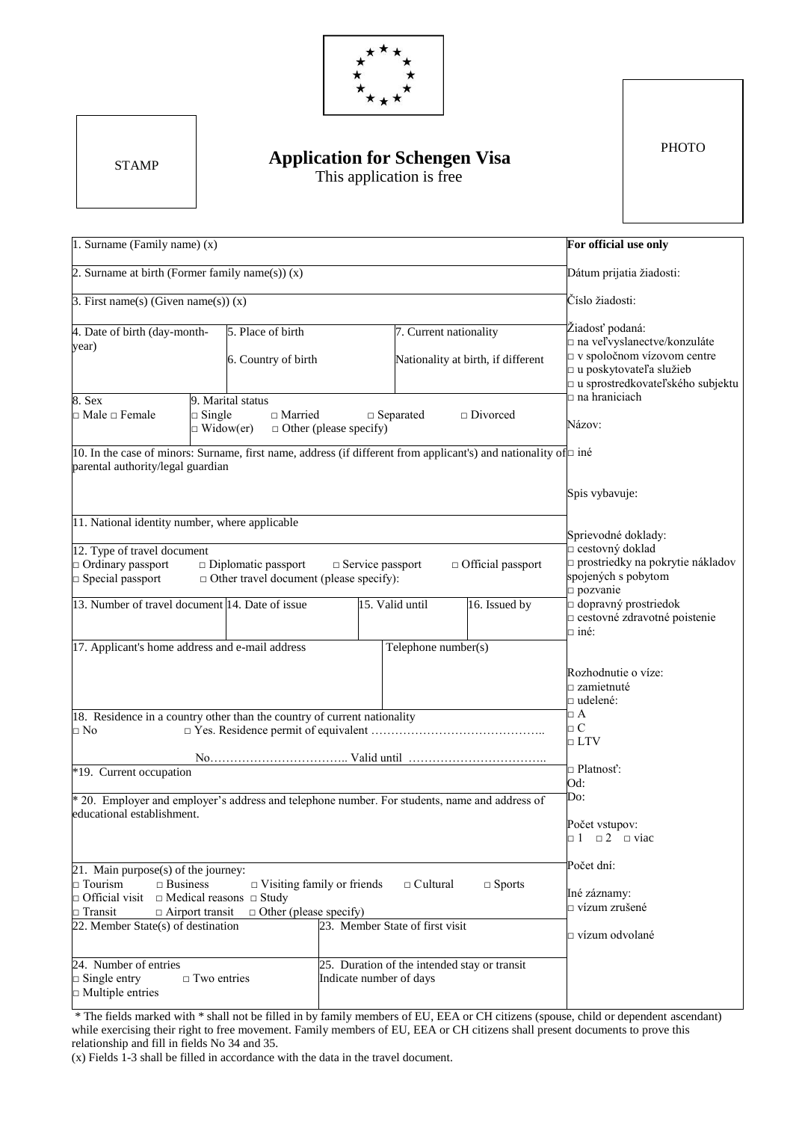

**STAMP** 

## *B* **EXAMP EXAMP EXAMP EXAMP EXAMP EXAMP EXAMP EXAMP EXAMP EXAMP EXAMP EXAMP EXAMP EXAMP EXAMP EXAMP EXAMP EXAMP EXAMP EXAMP EXAMP EXAMP EXAMP EXAMP EXAMP EXAMP EXAMP** This application is free

**PHOTO** 

| 1. Surname (Family name) (x)                                                                                                                                                                                               | For official use only                                                                                                                                                                                                                         |                               |                                            |                                                       |                                                                                                                                                                                   |
|----------------------------------------------------------------------------------------------------------------------------------------------------------------------------------------------------------------------------|-----------------------------------------------------------------------------------------------------------------------------------------------------------------------------------------------------------------------------------------------|-------------------------------|--------------------------------------------|-------------------------------------------------------|-----------------------------------------------------------------------------------------------------------------------------------------------------------------------------------|
| 2. Surname at birth (Former family name(s)) $(x)$                                                                                                                                                                          |                                                                                                                                                                                                                                               |                               |                                            |                                                       | Dátum prijatia žiadosti:                                                                                                                                                          |
| 3. First name(s) (Given name(s)) $(x)$                                                                                                                                                                                     | Číslo žiadosti:                                                                                                                                                                                                                               |                               |                                            |                                                       |                                                                                                                                                                                   |
| 4. Date of birth (day-month-<br>year)<br>$8.$ Sex<br>$\Box$ Male $\Box$ Female<br>parental authority/legal guardian                                                                                                        | 5. Place of birth<br>6. Country of birth<br>9. Marital status<br>$\Box$ Single<br>$\Box$ Married<br>$\Box$ Widow(er)<br>10. In the case of minors: Surname, first name, address (if different from applicant's) and nationality of $\Box$ iné | $\Box$ Other (please specify) | 7. Current nationality<br>$\Box$ Separated | Nationality at birth, if different<br>$\Box$ Divorced | Žiadosť podaná:<br>na veľvyslanectve/konzuláte<br>$\Box$ v spoločnom vízovom centre<br>□ u poskytovateľa služieb<br>□ u sprostredkovateľského subjektu<br>na hraniciach<br>Názov: |
| 11. National identity number, where applicable                                                                                                                                                                             |                                                                                                                                                                                                                                               |                               |                                            |                                                       | Spis vybavuje:                                                                                                                                                                    |
| 12. Type of travel document<br>$\Box$ Ordinary passport<br>$\Box$ Diplomatic passport<br>$\Box$ Service passport<br>$\Box$ Official passport<br>$\Box$ Special passport<br>$\Box$ Other travel document (please specify):  |                                                                                                                                                                                                                                               |                               |                                            |                                                       | Sprievodné doklady:<br>$\Box$ cestovný doklad<br>$\square$ prostriedky na pokrytie nákladov<br>spojených s pobytom<br>$\Box$ pozvanie                                             |
|                                                                                                                                                                                                                            | 13. Number of travel document 14. Date of issue<br>17. Applicant's home address and e-mail address                                                                                                                                            |                               | 15. Valid until<br>Telephone number(s)     | 16. Issued by                                         | $\Box$ dopravný prostriedok<br>o cestovné zdravotné poistenie<br>$\Box$ iné:                                                                                                      |
| 18. Residence in a country other than the country of current nationality<br>⊡ No                                                                                                                                           | Rozhodnutie o víze:<br>zamietnuté<br>$\Box$ udelené:<br>$\Box$ A<br>$\Box C$                                                                                                                                                                  |                               |                                            |                                                       |                                                                                                                                                                                   |
| *19. Current occupation                                                                                                                                                                                                    | $\Box$ LTV<br>$\Box$ Platnosť:<br>Od:                                                                                                                                                                                                         |                               |                                            |                                                       |                                                                                                                                                                                   |
| * 20. Employer and employer's address and telephone number. For students, name and address of<br>educational establishment.                                                                                                | Do:<br>Počet vstupov:<br>$\Box$ 1 $\Box$ 2 $\Box$ viac                                                                                                                                                                                        |                               |                                            |                                                       |                                                                                                                                                                                   |
| 21. Main purpose(s) of the journey:<br>$\Box$ Tourism<br>$\Box$ Business<br>$\Box$ Official visit<br>$\Box$ Medical reasons $\Box$ Study<br>$\Box$ Airport transit<br>$\Box$ Transit<br>22. Member State(s) of destination | Počet dní:<br>Iné záznamy:<br>$\Box$ vízum zrušené<br>$\Box$ vízum odvolané                                                                                                                                                                   |                               |                                            |                                                       |                                                                                                                                                                                   |
| 24. Number of entries<br>$\Box$ Single entry<br>$\Box$ Multiple entries                                                                                                                                                    | $\Box$ Two entries                                                                                                                                                                                                                            | Indicate number of days       |                                            | 25. Duration of the intended stay or transit          |                                                                                                                                                                                   |

\* The fields marked with \* shall not be filled in by family members of EU, EEA or CH citizens (spouse, child or dependent ascendant) while exercising their right to free movement. Family members of EU, EEA or CH citizens shall present documents to prove this relationship and fill in fields No 34 and 35.

(x) Fields 1-3 shall be filled in accordance with the data in the travel document.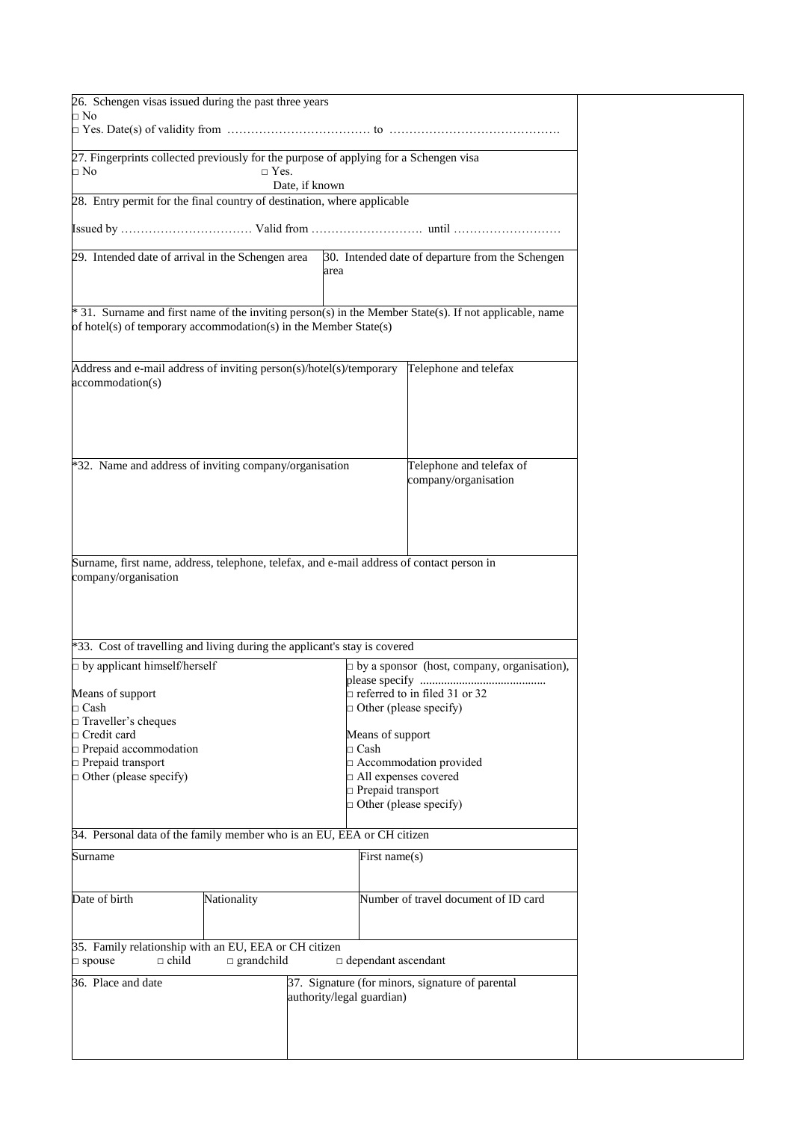| 26. Schengen visas issued during the past three years<br>$\Box$ No                    |                      |                           |                                                                                                        |  |
|---------------------------------------------------------------------------------------|----------------------|---------------------------|--------------------------------------------------------------------------------------------------------|--|
|                                                                                       |                      |                           |                                                                                                        |  |
|                                                                                       |                      |                           |                                                                                                        |  |
| 27. Fingerprints collected previously for the purpose of applying for a Schengen visa |                      |                           |                                                                                                        |  |
| □ No                                                                                  | $\Box$ Yes.          |                           |                                                                                                        |  |
|                                                                                       |                      | Date, if known            |                                                                                                        |  |
| 28. Entry permit for the final country of destination, where applicable               |                      |                           |                                                                                                        |  |
|                                                                                       |                      |                           |                                                                                                        |  |
|                                                                                       |                      |                           |                                                                                                        |  |
|                                                                                       |                      |                           |                                                                                                        |  |
| 29. Intended date of arrival in the Schengen area                                     |                      |                           | 30. Intended date of departure from the Schengen                                                       |  |
|                                                                                       |                      | area                      |                                                                                                        |  |
|                                                                                       |                      |                           |                                                                                                        |  |
|                                                                                       |                      |                           |                                                                                                        |  |
|                                                                                       |                      |                           | * 31. Surname and first name of the inviting person(s) in the Member State(s). If not applicable, name |  |
| of hotel(s) of temporary accommodation(s) in the Member State(s)                      |                      |                           |                                                                                                        |  |
|                                                                                       |                      |                           |                                                                                                        |  |
|                                                                                       |                      |                           |                                                                                                        |  |
| Address and e-mail address of inviting person(s)/hotel(s)/temporary                   |                      |                           | Telephone and telefax                                                                                  |  |
| accommodation(s)                                                                      |                      |                           |                                                                                                        |  |
|                                                                                       |                      |                           |                                                                                                        |  |
|                                                                                       |                      |                           |                                                                                                        |  |
|                                                                                       |                      |                           |                                                                                                        |  |
|                                                                                       |                      |                           |                                                                                                        |  |
|                                                                                       |                      |                           |                                                                                                        |  |
| *32. Name and address of inviting company/organisation                                |                      |                           | Telephone and telefax of                                                                               |  |
|                                                                                       |                      |                           | company/organisation                                                                                   |  |
|                                                                                       |                      |                           |                                                                                                        |  |
|                                                                                       |                      |                           |                                                                                                        |  |
|                                                                                       |                      |                           |                                                                                                        |  |
|                                                                                       |                      |                           |                                                                                                        |  |
|                                                                                       |                      |                           |                                                                                                        |  |
|                                                                                       |                      |                           | Surname, first name, address, telephone, telefax, and e-mail address of contact person in              |  |
| company/organisation                                                                  |                      |                           |                                                                                                        |  |
|                                                                                       |                      |                           |                                                                                                        |  |
|                                                                                       |                      |                           |                                                                                                        |  |
|                                                                                       |                      |                           |                                                                                                        |  |
|                                                                                       |                      |                           |                                                                                                        |  |
| *33. Cost of travelling and living during the applicant's stay is covered             |                      |                           |                                                                                                        |  |
| $\Box$ by applicant himself/herself                                                   |                      |                           | $\Box$ by a sponsor (host, company, organisation),                                                     |  |
|                                                                                       |                      |                           |                                                                                                        |  |
| Means of support                                                                      |                      |                           | $\Box$ referred to in filed 31 or 32                                                                   |  |
| $\Box$ Cash                                                                           |                      |                           | $\Box$ Other (please specify)                                                                          |  |
| □ Traveller's cheques                                                                 |                      |                           |                                                                                                        |  |
| $\Box$ Credit card                                                                    |                      |                           | Means of support                                                                                       |  |
| $\Box$ Prepaid accommodation                                                          |                      | $\Box$ Cash               |                                                                                                        |  |
| prepaid transport                                                                     |                      |                           | Accommodation provided                                                                                 |  |
|                                                                                       |                      |                           | All expenses covered                                                                                   |  |
| $\Box$ Other (please specify)                                                         |                      |                           | Prepaid transport                                                                                      |  |
|                                                                                       |                      |                           | $\Box$ Other (please specify)                                                                          |  |
|                                                                                       |                      |                           |                                                                                                        |  |
|                                                                                       |                      |                           |                                                                                                        |  |
| 34. Personal data of the family member who is an EU, EEA or CH citizen                |                      |                           |                                                                                                        |  |
| Surname                                                                               |                      |                           | First name(s)                                                                                          |  |
|                                                                                       |                      |                           |                                                                                                        |  |
|                                                                                       |                      |                           |                                                                                                        |  |
| Date of birth                                                                         | Nationality          |                           | Number of travel document of ID card                                                                   |  |
|                                                                                       |                      |                           |                                                                                                        |  |
|                                                                                       |                      |                           |                                                                                                        |  |
|                                                                                       |                      |                           |                                                                                                        |  |
| 35. Family relationship with an EU, EEA or CH citizen                                 |                      |                           |                                                                                                        |  |
| $\square$ spouse<br>$\Box$ child                                                      | $\square$ grandchild |                           | dependant ascendant                                                                                    |  |
|                                                                                       |                      |                           |                                                                                                        |  |
| 36. Place and date                                                                    |                      |                           | 37. Signature (for minors, signature of parental                                                       |  |
|                                                                                       |                      | authority/legal guardian) |                                                                                                        |  |
|                                                                                       |                      |                           |                                                                                                        |  |
|                                                                                       |                      |                           |                                                                                                        |  |
|                                                                                       |                      |                           |                                                                                                        |  |
|                                                                                       |                      |                           |                                                                                                        |  |